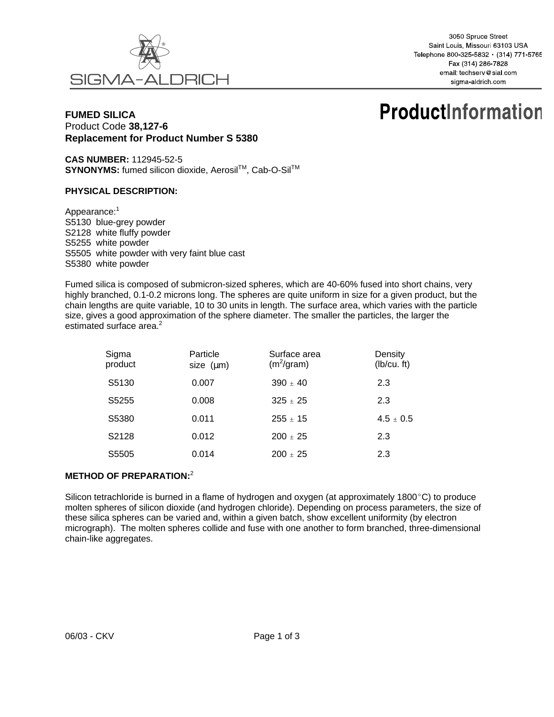

3050 Spruce Street Saint Louis, Missouri 63103 USA Telephone 800-325-5832 · (314) 771-5765 Fax (314) 286-7828 email: techserv@sial.com sigma-aldrich com

# **FUMED SILICA**  Product Code **38,127-6 Replacement for Product Number S 5380**

# **ProductInformation**

**CAS NUMBER:** 112945-52-5 SYNONYMS: fumed silicon dioxide, Aerosil™, Cab-O-Sil™

#### **PHYSICAL DESCRIPTION:**

Appearance:<sup>1</sup> S5130 blue-grey powder S2128 white fluffy powder S5255 white powder S5505 white powder with very faint blue cast S5380 white powder

Fumed silica is composed of submicron-sized spheres, which are 40-60% fused into short chains, very highly branched, 0.1-0.2 microns long. The spheres are quite uniform in size for a given product, but the chain lengths are quite variable, 10 to 30 units in length. The surface area, which varies with the particle size, gives a good approximation of the sphere diameter. The smaller the particles, the larger the estimated surface area.<sup>2</sup>

| Sigma<br>product  | Particle<br>size $(\mu m)$ | Surface area<br>$(m^2/\text{gram})$ | Density<br>(Ib/cu. ft) |
|-------------------|----------------------------|-------------------------------------|------------------------|
| S5130             | 0.007                      | $390 + 40$                          | 2.3                    |
| S <sub>5255</sub> | 0.008                      | $325 + 25$                          | 2.3                    |
| S5380             | 0.011                      | $255 \pm 15$                        | $4.5 \pm 0.5$          |
| S2128             | 0.012                      | $200 + 25$                          | 2.3                    |
| S5505             | 0.014                      | $200 + 25$                          | 2.3                    |

## **METHOD OF PREPARATION:**<sup>2</sup>

Silicon tetrachloride is burned in a flame of hydrogen and oxygen (at approximately 1800 $^{\circ}$ C) to produce molten spheres of silicon dioxide (and hydrogen chloride). Depending on process parameters, the size of these silica spheres can be varied and, within a given batch, show excellent uniformity (by electron micrograph). The molten spheres collide and fuse with one another to form branched, three-dimensional chain-like aggregates.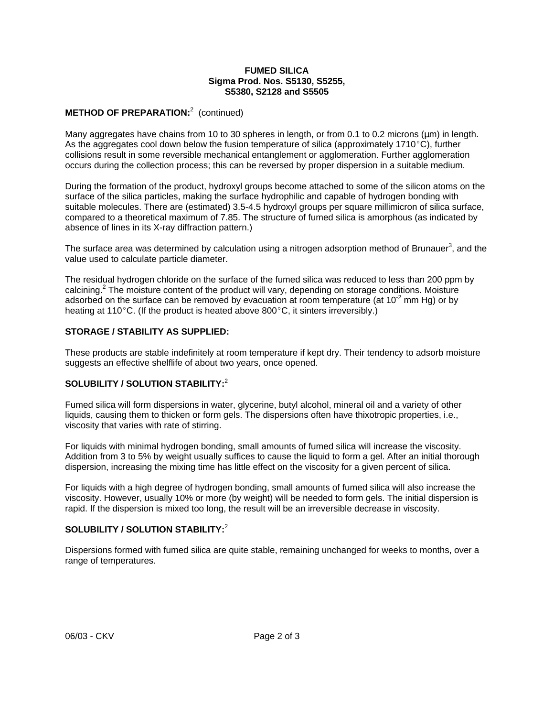#### **FUMED SILICA Sigma Prod. Nos. S5130, S5255, S5380, S2128 and S5505**

# **METHOD OF PREPARATION:**<sup>2</sup> (continued)

Many aggregates have chains from 10 to 30 spheres in length, or from 0.1 to 0.2 microns ( $\mu$ m) in length. As the aggregates cool down below the fusion temperature of silica (approximately 1710 $\degree$ C), further collisions result in some reversible mechanical entanglement or agglomeration. Further agglomeration occurs during the collection process; this can be reversed by proper dispersion in a suitable medium.

During the formation of the product, hydroxyl groups become attached to some of the silicon atoms on the surface of the silica particles, making the surface hydrophilic and capable of hydrogen bonding with suitable molecules. There are (estimated) 3.5-4.5 hydroxyl groups per square millimicron of silica surface, compared to a theoretical maximum of 7.85. The structure of fumed silica is amorphous (as indicated by absence of lines in its X-ray diffraction pattern.)

The surface area was determined by calculation using a nitrogen adsorption method of Brunauer<sup>3</sup>, and the value used to calculate particle diameter.

The residual hydrogen chloride on the surface of the fumed silica was reduced to less than 200 ppm by calcining.<sup>2</sup> The moisture content of the product will vary, depending on storage conditions. Moisture adsorbed on the surface can be removed by evacuation at room temperature (at  $10^{-2}$  mm Hg) or by heating at 110 $^{\circ}$ C. (If the product is heated above 800 $^{\circ}$ C, it sinters irreversibly.)

## **STORAGE / STABILITY AS SUPPLIED:**

These products are stable indefinitely at room temperature if kept dry. Their tendency to adsorb moisture suggests an effective shelflife of about two years, once opened.

# **SOLUBILITY / SOLUTION STABILITY:**<sup>2</sup>

Fumed silica will form dispersions in water, glycerine, butyl alcohol, mineral oil and a variety of other liquids, causing them to thicken or form gels. The dispersions often have thixotropic properties, i.e., viscosity that varies with rate of stirring.

For liquids with minimal hydrogen bonding, small amounts of fumed silica will increase the viscosity. Addition from 3 to 5% by weight usually suffices to cause the liquid to form a gel. After an initial thorough dispersion, increasing the mixing time has little effect on the viscosity for a given percent of silica.

For liquids with a high degree of hydrogen bonding, small amounts of fumed silica will also increase the viscosity. However, usually 10% or more (by weight) will be needed to form gels. The initial dispersion is rapid. If the dispersion is mixed too long, the result will be an irreversible decrease in viscosity.

## **SOLUBILITY / SOLUTION STABILITY:**<sup>2</sup>

Dispersions formed with fumed silica are quite stable, remaining unchanged for weeks to months, over a range of temperatures.